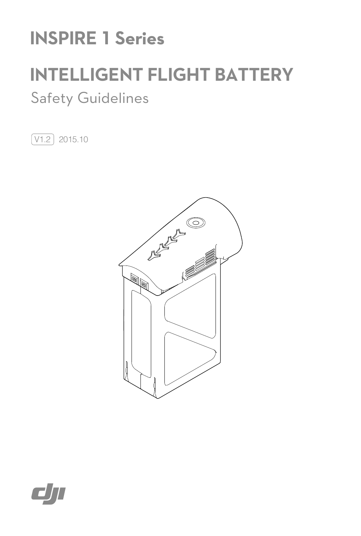# **INSPIRE 1 Series**

# **INTELLIGENT FLIGHT BATTERY**

## Safety Guidelines

 $\boxed{V1.2}$  2015.10



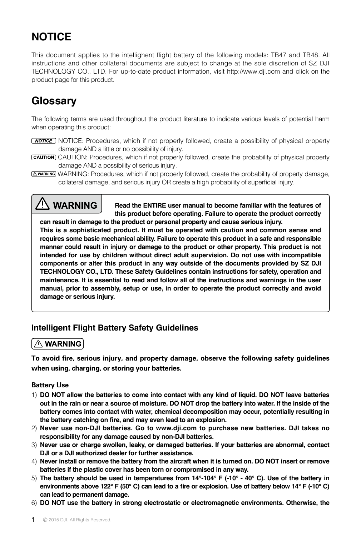## **NOTICE**

This document applies to the intellighent flight battery of the following models: TB47 and TB48. All instructions and other collateral documents are subject to change at the sole discretion of SZ DJI TECHNOLOGY CO., LTD. For up-to-date product information, visit http://www.dji.com and click on the product page for this product.

### **Glossary**

The following terms are used throughout the product literature to indicate various levels of potential harm when operating this product:

- **NOTICE:** Procedures, which if not properly followed, create a possibility of physical property damage AND a little or no possibility of injury.
- CAUTION: Procedures, which if not properly followed, create the probability of physical property damage AND a possibility of serious injury.
- **AMARNING:** Procedures, which if not properly followed, create the probability of property damage, collateral damage, and serious injury OR create a high probability of superficial injury.

## **WARNING**

**Read the ENTIRE user manual to become familiar with the features of this product before operating. Failure to operate the product correctly can result in damage to the product or personal property and cause serious injury.**

**This is a sophisticated product. It must be operated with caution and common sense and requires some basic mechanical ability. Failure to operate this product in a safe and responsible manner could result in injury or damage to the product or other property. This product is not intended for use by children without direct adult supervision. Do not use with incompatible components or alter this product in any way outside of the documents provided by SZ DJI TECHNOLOGY CO., LTD. These Safety Guidelines contain instructions for safety, operation and maintenance. It is essential to read and follow all of the instructions and warnings in the user manual, prior to assembly, setup or use, in order to operate the product correctly and avoid damage or serious injury.**

#### **Intelligent Flight Battery Safety Guidelines**

#### $\land$  WARNING

To avoid fire, serious injury, and property damage, observe the following safety guidelines when using, charging, or storing your batteries.

#### Battery Use

- 1) **DO NOT allow the batteries to come into contact with any kind of liquid. DO NOT leave batteries out in the rain or near a source of moisture. DO NOT drop the battery into water. If the inside of the battery comes into contact with water, chemical decomposition may occur, potentially resulting in the battery catching on fire, and may even lead to an explosion.**
- 2) **Never use non-DJI batteries. Go to www.dji.com to purchase new batteries. DJI takes no responsibility for any damage caused by non-DJI batteries.**
- 3) **Never use or charge swollen, leaky, or damaged batteries. If your batteries are abnormal, contact DJI or a DJI authorized dealer for further assistance.**
- 4) **Never install or remove the battery from the aircraft when it is turned on. DO NOT insert or remove batteries if the plastic cover has been torn or compromised in any way.**
- 5) **The battery should be used in temperatures from 14°-104° F (-10° 40° C). Use of the battery in environments above 122° F (50° C) can lead to a fire or explosion. Use of battery below 14° F (-10° C) can lead to permanent damage.**
- 6) **DO NOT use the battery in strong electrostatic or electromagnetic environments. Otherwise, the**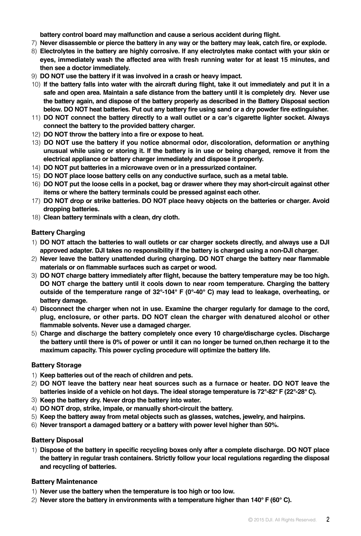**battery control board may malfunction and cause a serious accident during flight.** 

- 7) **Never disassemble or pierce the battery in any way or the battery may leak, catch fire, or explode.**
- 8) **Electrolytes in the battery are highly corrosive. If any electrolytes make contact with your skin or eyes, immediately wash the affected area with fresh running water for at least 15 minutes, and then see a doctor immediately.**
- 9) **DO NOT use the battery if it was involved in a crash or heavy impact.**
- 10) **If the battery falls into water with the aircraft during flight, take it out immediately and put it in a safe and open area. Maintain a safe distance from the battery until it is completely dry. Never use the battery again, and dispose of the battery properly as described in the Battery Disposal section below. DO NOT heat batteries. Put out any battery fire using sand or a dry powder fire extinguisher.**
- 11) **DO NOT connect the battery directly to a wall outlet or a car's cigarette lighter socket. Always connect the battery to the provided battery charger.**
- 12) **DO NOT throw the battery into a fire or expose to heat.**
- 13) **DO NOT use the battery if you notice abnormal odor, discoloration, deformation or anything unusual while using or storing it. If the battery is in use or being charged, remove it from the electrical appliance or battery charger immediately and dispose it properly.**
- 14) **DO NOT put batteries in a microwave oven or in a pressurized container.**
- 15) **DO NOT place loose battery cells on any conductive surface, such as a metal table.**
- 16) **DO NOT put the loose cells in a pocket, bag or drawer where they may short-circuit against other items or where the battery terminals could be pressed against each other.**
- 17) **DO NOT drop or strike batteries. DO NOT place heavy objects on the batteries or charger. Avoid dropping batteries.**
- 18) **Clean battery terminals with a clean, dry cloth.**

#### Battery Charging

- 1) **DO NOT attach the batteries to wall outlets or car charger sockets directly, and always use a DJI approved adapter. DJI takes no responsibility if the battery is charged using a non-DJI charger.**
- 2) **Never leave the battery unattended during charging. DO NOT charge the battery near flammable materials or on flammable surfaces such as carpet or wood.**
- 3) **DO NOT charge battery immediately after flight, because the battery temperature may be too high. DO NOT charge the battery until it cools down to near room temperature. Charging the battery outside of the temperature range of 32°-104° F (0°-40° C) may lead to leakage, overheating, or battery damage.**
- 4) **Disconnect the charger when not in use. Examine the charger regularly for damage to the cord, plug, enclosure, or other parts. DO NOT clean the charger with denatured alcohol or other flammable solvents. Never use a damaged charger.**
- 5) **Charge and discharge the battery completely once every 10 charge/discharge cycles. Discharge the battery until there is 0% of power or until it can no longer be turned on,then recharge it to the maximum capacity. This power cycling procedure will optimize the battery life.**

#### Battery Storage

- 1) **Keep batteries out of the reach of children and pets.**
- 2) **DO NOT leave the battery near heat sources such as a furnace or heater. DO NOT leave the batteries inside of a vehicle on hot days. The ideal storage temperature is 72°-82° F (22°-28° C).**
- 3) **Keep the battery dry. Never drop the battery into water.**
- 4) **DO NOT drop, strike, impale, or manually short-circuit the battery.**
- 5) **Keep the battery away from metal objects such as glasses, watches, jewelry, and hairpins.**
- 6) **Never transport a damaged battery or a battery with power level higher than 50%.**

#### Battery Disposal

1) **Dispose of the battery in specific recycling boxes only after a complete discharge. DO NOT place the battery in regular trash containers. Strictly follow your local regulations regarding the disposal and recycling of batteries.** 

#### Battery Maintenance

- 1) **Never use the battery when the temperature is too high or too low.**
- 2) **Never store the battery in environments with a temperature higher than 140° F (60° C).**